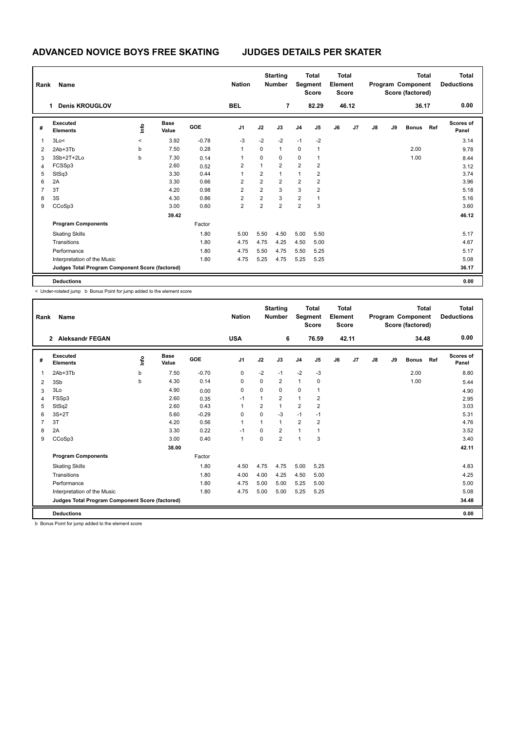| Rank | Name                                            |                     |                      |            | <b>Nation</b>  |                         | <b>Starting</b><br><b>Number</b> |                | <b>Total</b><br>Segment<br><b>Score</b> | <b>Total</b><br>Element<br><b>Score</b> |       |    | Program Component<br>Score (factored) | <b>Total</b> | <b>Total</b><br><b>Deductions</b> |                           |
|------|-------------------------------------------------|---------------------|----------------------|------------|----------------|-------------------------|----------------------------------|----------------|-----------------------------------------|-----------------------------------------|-------|----|---------------------------------------|--------------|-----------------------------------|---------------------------|
|      | <b>Denis KROUGLOV</b>                           |                     |                      |            | <b>BEL</b>     |                         | $\overline{7}$                   |                | 82.29                                   |                                         | 46.12 |    |                                       | 36.17        |                                   | 0.00                      |
| #    | Executed<br><b>Elements</b>                     | lnfo                | <b>Base</b><br>Value | <b>GOE</b> | J1             | J2                      | J3                               | J <sub>4</sub> | J5                                      | J6                                      | J7    | J8 | J9                                    | <b>Bonus</b> | Ref                               | <b>Scores of</b><br>Panel |
| 1    | 3Lo<                                            | $\hat{\phantom{a}}$ | 3.92                 | $-0.78$    | $-3$           | $-2$                    | $-2$                             | $-1$           | $-2$                                    |                                         |       |    |                                       |              |                                   | 3.14                      |
| 2    | 2Ab+3Tb                                         | b                   | 7.50                 | 0.28       |                | $\mathbf 0$             | $\mathbf{1}$                     | 0              | $\mathbf{1}$                            |                                         |       |    |                                       | 2.00         |                                   | 9.78                      |
| 3    | 3Sb+2T+2Lo                                      | b                   | 7.30                 | 0.14       |                | 0                       | 0                                | 0              | 1                                       |                                         |       |    |                                       | 1.00         |                                   | 8.44                      |
| 4    | FCSSp3                                          |                     | 2.60                 | 0.52       | 2              | 1                       | $\overline{2}$                   | $\overline{2}$ | $\overline{2}$                          |                                         |       |    |                                       |              |                                   | 3.12                      |
| 5    | StSq3                                           |                     | 3.30                 | 0.44       |                | $\overline{2}$          | 1                                | $\mathbf{1}$   | $\overline{2}$                          |                                         |       |    |                                       |              |                                   | 3.74                      |
| 6    | 2A                                              |                     | 3.30                 | 0.66       | 2              | $\overline{2}$          | $\overline{2}$                   | $\overline{2}$ | $\overline{2}$                          |                                         |       |    |                                       |              |                                   | 3.96                      |
|      | 3T                                              |                     | 4.20                 | 0.98       | $\overline{2}$ | $\overline{2}$          | 3                                | 3              | $\overline{2}$                          |                                         |       |    |                                       |              |                                   | 5.18                      |
| 8    | 3S                                              |                     | 4.30                 | 0.86       | $\overline{2}$ | $\overline{\mathbf{c}}$ | 3                                | $\overline{2}$ | 1                                       |                                         |       |    |                                       |              |                                   | 5.16                      |
| 9    | CCoSp3                                          |                     | 3.00                 | 0.60       | $\overline{2}$ | $\overline{2}$          | $\overline{2}$                   | $\overline{2}$ | 3                                       |                                         |       |    |                                       |              |                                   | 3.60                      |
|      |                                                 |                     | 39.42                |            |                |                         |                                  |                |                                         |                                         |       |    |                                       |              |                                   | 46.12                     |
|      | <b>Program Components</b>                       |                     |                      | Factor     |                |                         |                                  |                |                                         |                                         |       |    |                                       |              |                                   |                           |
|      | <b>Skating Skills</b>                           |                     |                      | 1.80       | 5.00           | 5.50                    | 4.50                             | 5.00           | 5.50                                    |                                         |       |    |                                       |              |                                   | 5.17                      |
|      | Transitions                                     |                     |                      | 1.80       | 4.75           | 4.75                    | 4.25                             | 4.50           | 5.00                                    |                                         |       |    |                                       |              |                                   | 4.67                      |
|      | Performance                                     |                     |                      | 1.80       | 4.75           | 5.50                    | 4.75                             | 5.50           | 5.25                                    |                                         |       |    |                                       |              |                                   | 5.17                      |
|      | Interpretation of the Music                     |                     |                      | 1.80       | 4.75           | 5.25                    | 4.75                             | 5.25           | 5.25                                    |                                         |       |    |                                       |              |                                   | 5.08                      |
|      | Judges Total Program Component Score (factored) |                     |                      |            |                |                         |                                  |                |                                         |                                         |       |    |                                       |              |                                   | 36.17                     |
|      | <b>Deductions</b>                               |                     |                      |            |                |                         |                                  |                |                                         |                                         |       |    |                                       |              |                                   | 0.00                      |

< Under-rotated jump b Bonus Point for jump added to the element score

| Rank           | Name                                            |      |                      |         | <b>Nation</b>  | <b>Total</b><br>Segment<br><b>Score</b> |                | <b>Total</b><br>Element<br><b>Score</b> |                | <b>Total</b><br>Program Component<br>Score (factored) |       |    |    | <b>Total</b><br><b>Deductions</b> |     |                    |
|----------------|-------------------------------------------------|------|----------------------|---------|----------------|-----------------------------------------|----------------|-----------------------------------------|----------------|-------------------------------------------------------|-------|----|----|-----------------------------------|-----|--------------------|
|                | <b>Aleksandr FEGAN</b><br>$\overline{2}$        |      |                      |         | <b>USA</b>     |                                         | 6              |                                         | 76.59          |                                                       | 42.11 |    |    | 34.48                             |     | 0.00               |
| #              | Executed<br><b>Elements</b>                     | info | <b>Base</b><br>Value | GOE     | J <sub>1</sub> | J2                                      | J3             | J <sub>4</sub>                          | J5             | J6                                                    | J7    | J8 | J9 | <b>Bonus</b>                      | Ref | Scores of<br>Panel |
| 1              | 2Ab+3Tb                                         | b    | 7.50                 | $-0.70$ | 0              | $-2$                                    | $-1$           | $-2$                                    | $-3$           |                                                       |       |    |    | 2.00                              |     | 8.80               |
| 2              | 3Sb                                             | b    | 4.30                 | 0.14    | 0              | $\Omega$                                | $\overline{2}$ | $\mathbf{1}$                            | 0              |                                                       |       |    |    | 1.00                              |     | 5.44               |
| 3              | 3Lo                                             |      | 4.90                 | 0.00    | 0              | 0                                       | 0              | 0                                       | 1              |                                                       |       |    |    |                                   |     | 4.90               |
| 4              | FSSp3                                           |      | 2.60                 | 0.35    | $-1$           | 1                                       | 2              | $\mathbf{1}$                            | 2              |                                                       |       |    |    |                                   |     | 2.95               |
| 5              | StSq2                                           |      | 2.60                 | 0.43    | $\mathbf{1}$   | $\overline{2}$                          | $\mathbf{1}$   | $\overline{2}$                          | $\overline{2}$ |                                                       |       |    |    |                                   |     | 3.03               |
| 6              | $3S+2T$                                         |      | 5.60                 | $-0.29$ | 0              | $\Omega$                                | $-3$           | $-1$                                    | $-1$           |                                                       |       |    |    |                                   |     | 5.31               |
| $\overline{7}$ | 3T                                              |      | 4.20                 | 0.56    | $\mathbf{1}$   | 1                                       | 1              | $\overline{2}$                          | 2              |                                                       |       |    |    |                                   |     | 4.76               |
| 8              | 2A                                              |      | 3.30                 | 0.22    | $-1$           | $\Omega$                                | 2              | $\overline{1}$                          | 1              |                                                       |       |    |    |                                   |     | 3.52               |
| 9              | CCoSp3                                          |      | 3.00                 | 0.40    | $\mathbf{1}$   | $\Omega$                                | $\overline{2}$ | $\overline{1}$                          | 3              |                                                       |       |    |    |                                   |     | 3.40               |
|                |                                                 |      | 38.00                |         |                |                                         |                |                                         |                |                                                       |       |    |    |                                   |     | 42.11              |
|                | <b>Program Components</b>                       |      |                      | Factor  |                |                                         |                |                                         |                |                                                       |       |    |    |                                   |     |                    |
|                | <b>Skating Skills</b>                           |      |                      | 1.80    | 4.50           | 4.75                                    | 4.75           | 5.00                                    | 5.25           |                                                       |       |    |    |                                   |     | 4.83               |
|                | Transitions                                     |      |                      | 1.80    | 4.00           | 4.00                                    | 4.25           | 4.50                                    | 5.00           |                                                       |       |    |    |                                   |     | 4.25               |
|                | Performance                                     |      |                      | 1.80    | 4.75           | 5.00                                    | 5.00           | 5.25                                    | 5.00           |                                                       |       |    |    |                                   |     | 5.00               |
|                | Interpretation of the Music                     |      |                      | 1.80    | 4.75           | 5.00                                    | 5.00           | 5.25                                    | 5.25           |                                                       |       |    |    |                                   |     | 5.08               |
|                | Judges Total Program Component Score (factored) |      |                      |         |                |                                         |                |                                         |                |                                                       |       |    |    |                                   |     | 34.48              |
|                | <b>Deductions</b>                               |      |                      |         |                |                                         |                |                                         |                |                                                       |       |    |    |                                   |     | 0.00               |

b Bonus Point for jump added to the element score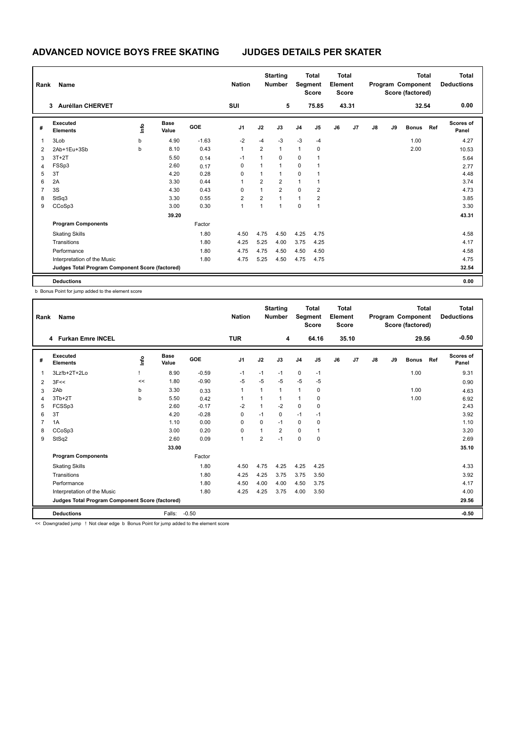| Rank           | Name                                            |      |                      |            | <b>Nation</b>  |                | <b>Starting</b><br><b>Total</b><br>Segment<br><b>Number</b><br><b>Score</b> |                |                |    | Total<br>Element<br><b>Score</b> |    | Program Component<br>Score (factored) | <b>Total</b> | <b>Total</b><br><b>Deductions</b> |                           |  |
|----------------|-------------------------------------------------|------|----------------------|------------|----------------|----------------|-----------------------------------------------------------------------------|----------------|----------------|----|----------------------------------|----|---------------------------------------|--------------|-----------------------------------|---------------------------|--|
|                | <b>Aurélian CHERVET</b><br>3                    |      |                      |            | SUI            |                | 5                                                                           |                | 75.85          |    | 43.31                            |    |                                       | 32.54        |                                   | 0.00                      |  |
| #              | <b>Executed</b><br><b>Elements</b>              | lnfo | <b>Base</b><br>Value | <b>GOE</b> | J <sub>1</sub> | J2             | J3                                                                          | J <sub>4</sub> | J5             | J6 | J7                               | J8 | J9                                    | <b>Bonus</b> | Ref                               | <b>Scores of</b><br>Panel |  |
| 1              | 3Lob                                            | b    | 4.90                 | $-1.63$    | $-2$           | $-4$           | $-3$                                                                        | $-3$           | $-4$           |    |                                  |    |                                       | 1.00         |                                   | 4.27                      |  |
| 2              | 2Ab+1Eu+3Sb                                     | b    | 8.10                 | 0.43       | $\mathbf{1}$   | $\overline{2}$ | $\overline{1}$                                                              | $\mathbf{1}$   | 0              |    |                                  |    |                                       | 2.00         |                                   | 10.53                     |  |
| 3              | $3T+2T$                                         |      | 5.50                 | 0.14       | $-1$           | 1              | $\Omega$                                                                    | 0              | 1              |    |                                  |    |                                       |              |                                   | 5.64                      |  |
| $\overline{4}$ | FSSp3                                           |      | 2.60                 | 0.17       | 0              | 1              | $\overline{1}$                                                              | 0              | 1              |    |                                  |    |                                       |              |                                   | 2.77                      |  |
| 5              | 3T                                              |      | 4.20                 | 0.28       | $\Omega$       | $\mathbf{1}$   | $\overline{1}$                                                              | $\mathbf 0$    | 1              |    |                                  |    |                                       |              |                                   | 4.48                      |  |
| 6              | 2A                                              |      | 3.30                 | 0.44       | 1              | $\overline{2}$ | $\overline{2}$                                                              | $\mathbf{1}$   | 1              |    |                                  |    |                                       |              |                                   | 3.74                      |  |
| $\overline{7}$ | 3S                                              |      | 4.30                 | 0.43       | $\Omega$       | $\mathbf{1}$   | $\overline{2}$                                                              | $\Omega$       | $\overline{2}$ |    |                                  |    |                                       |              |                                   | 4.73                      |  |
| 8              | StSq3                                           |      | 3.30                 | 0.55       | 2              | 2              | $\overline{1}$                                                              | $\mathbf{1}$   | $\overline{2}$ |    |                                  |    |                                       |              |                                   | 3.85                      |  |
| 9              | CCoSp3                                          |      | 3.00                 | 0.30       | 1              | $\mathbf{1}$   | $\overline{1}$                                                              | $\mathbf 0$    | 1              |    |                                  |    |                                       |              |                                   | 3.30                      |  |
|                |                                                 |      | 39.20                |            |                |                |                                                                             |                |                |    |                                  |    |                                       |              |                                   | 43.31                     |  |
|                | <b>Program Components</b>                       |      |                      | Factor     |                |                |                                                                             |                |                |    |                                  |    |                                       |              |                                   |                           |  |
|                | <b>Skating Skills</b>                           |      |                      | 1.80       | 4.50           | 4.75           | 4.50                                                                        | 4.25           | 4.75           |    |                                  |    |                                       |              |                                   | 4.58                      |  |
|                | Transitions                                     |      |                      | 1.80       | 4.25           | 5.25           | 4.00                                                                        | 3.75           | 4.25           |    |                                  |    |                                       |              |                                   | 4.17                      |  |
|                | Performance                                     |      |                      | 1.80       | 4.75           | 4.75           | 4.50                                                                        | 4.50           | 4.50           |    |                                  |    |                                       |              |                                   | 4.58                      |  |
|                | Interpretation of the Music                     |      |                      | 1.80       | 4.75           | 5.25           | 4.50                                                                        | 4.75           | 4.75           |    |                                  |    |                                       |              |                                   | 4.75                      |  |
|                | Judges Total Program Component Score (factored) |      |                      |            |                |                |                                                                             |                |                |    |                                  |    |                                       |              |                                   | 32.54                     |  |
|                | <b>Deductions</b>                               |      |                      |            |                |                |                                                                             |                |                |    |                                  |    |                                       |              |                                   | 0.00                      |  |

b Bonus Point for jump added to the element score

| Rank | Name                                            |      |                      | <b>Nation</b> |                | <b>Starting</b><br><b>Number</b> | <b>Total</b><br>Segment<br><b>Score</b> |                | <b>Total</b><br>Element<br><b>Score</b> |    | <b>Total</b><br>Program Component<br>Score (factored) |    |    |              | <b>Total</b><br><b>Deductions</b> |                    |
|------|-------------------------------------------------|------|----------------------|---------------|----------------|----------------------------------|-----------------------------------------|----------------|-----------------------------------------|----|-------------------------------------------------------|----|----|--------------|-----------------------------------|--------------------|
|      | 4 Furkan Emre INCEL                             |      |                      |               | <b>TUR</b>     |                                  | 4                                       |                | 64.16                                   |    | 35.10                                                 |    |    | 29.56        |                                   | $-0.50$            |
| #    | Executed<br><b>Elements</b>                     | ١ifo | <b>Base</b><br>Value | GOE           | J <sub>1</sub> | J2                               | J3                                      | J <sub>4</sub> | J5                                      | J6 | J7                                                    | J8 | J9 | <b>Bonus</b> | Ref                               | Scores of<br>Panel |
| 1    | 3Lz!b+2T+2Lo                                    |      | 8.90                 | $-0.59$       | $-1$           | $-1$                             | $-1$                                    | $\mathbf 0$    | $-1$                                    |    |                                                       |    |    | 1.00         |                                   | 9.31               |
| 2    | 3F<<                                            | <<   | 1.80                 | $-0.90$       | $-5$           | $-5$                             | -5                                      | $-5$           | $-5$                                    |    |                                                       |    |    |              |                                   | 0.90               |
| 3    | 2Ab                                             | b    | 3.30                 | 0.33          | 1              | 1                                | 1                                       | 1              | 0                                       |    |                                                       |    |    | 1.00         |                                   | 4.63               |
| 4    | 3Tb+2T                                          | b    | 5.50                 | 0.42          | 1              |                                  | 1                                       | 1              | 0                                       |    |                                                       |    |    | 1.00         |                                   | 6.92               |
| 5    | FCSSp3                                          |      | 2.60                 | $-0.17$       | $-2$           | 1                                | $-2$                                    | $\mathbf 0$    | 0                                       |    |                                                       |    |    |              |                                   | 2.43               |
| 6    | 3T                                              |      | 4.20                 | $-0.28$       | 0              | $-1$                             | 0                                       | $-1$           | $-1$                                    |    |                                                       |    |    |              |                                   | 3.92               |
|      | 1A                                              |      | 1.10                 | 0.00          | $\Omega$       | 0                                | $-1$                                    | 0              | 0                                       |    |                                                       |    |    |              |                                   | 1.10               |
| 8    | CCoSp3                                          |      | 3.00                 | 0.20          | 0              |                                  | $\overline{2}$                          | $\mathbf 0$    | 1                                       |    |                                                       |    |    |              |                                   | 3.20               |
| 9    | StSq2                                           |      | 2.60                 | 0.09          | $\mathbf{1}$   | $\overline{2}$                   | $-1$                                    | $\Omega$       | $\Omega$                                |    |                                                       |    |    |              |                                   | 2.69               |
|      |                                                 |      | 33.00                |               |                |                                  |                                         |                |                                         |    |                                                       |    |    |              |                                   | 35.10              |
|      | <b>Program Components</b>                       |      |                      | Factor        |                |                                  |                                         |                |                                         |    |                                                       |    |    |              |                                   |                    |
|      | <b>Skating Skills</b>                           |      |                      | 1.80          | 4.50           | 4.75                             | 4.25                                    | 4.25           | 4.25                                    |    |                                                       |    |    |              |                                   | 4.33               |
|      | Transitions                                     |      |                      | 1.80          | 4.25           | 4.25                             | 3.75                                    | 3.75           | 3.50                                    |    |                                                       |    |    |              |                                   | 3.92               |
|      | Performance                                     |      |                      | 1.80          | 4.50           | 4.00                             | 4.00                                    | 4.50           | 3.75                                    |    |                                                       |    |    |              |                                   | 4.17               |
|      | Interpretation of the Music                     |      |                      | 1.80          | 4.25           | 4.25                             | 3.75                                    | 4.00           | 3.50                                    |    |                                                       |    |    |              |                                   | 4.00               |
|      | Judges Total Program Component Score (factored) |      |                      |               |                |                                  |                                         |                |                                         |    |                                                       |    |    |              |                                   | 29.56              |
|      | <b>Deductions</b>                               |      | Falls:               | $-0.50$       |                |                                  |                                         |                |                                         |    |                                                       |    |    |              |                                   | $-0.50$            |

<< Downgraded jump ! Not clear edge b Bonus Point for jump added to the element score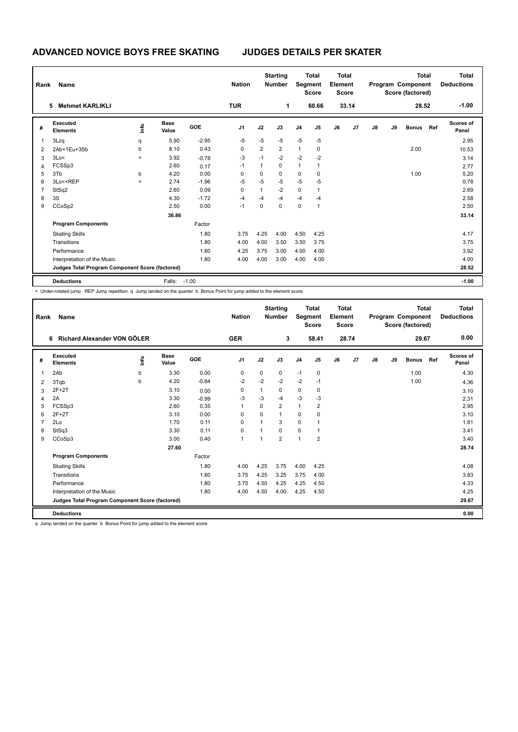| Rank           | Name                                            |         |                      |         | <b>Starting</b><br><b>Nation</b><br><b>Number</b> |                | <b>Total</b><br><b>Total</b><br>Segment<br>Element<br><b>Score</b><br><b>Score</b> |                |                |    | Program Component<br>Score (factored) | <b>Total</b> | <b>Total</b><br><b>Deductions</b> |              |     |                    |
|----------------|-------------------------------------------------|---------|----------------------|---------|---------------------------------------------------|----------------|------------------------------------------------------------------------------------|----------------|----------------|----|---------------------------------------|--------------|-----------------------------------|--------------|-----|--------------------|
|                | <b>Mehmet KARLIKLI</b><br>5                     |         |                      |         | <b>TUR</b>                                        |                | $\mathbf{1}$                                                                       |                | 60.66          |    | 33.14                                 |              |                                   | 28.52        |     | $-1.00$            |
| #              | Executed<br><b>Elements</b>                     | ١mfo    | <b>Base</b><br>Value | GOE     | J <sub>1</sub>                                    | J2             | J3                                                                                 | J <sub>4</sub> | J <sub>5</sub> | J6 | J7                                    | J8           | J9                                | <b>Bonus</b> | Ref | Scores of<br>Panel |
| 1              | 3Lzq                                            | q       | 5.90                 | $-2.95$ | $-5$                                              | $-5$           | $-5$                                                                               | $-5$           | $-5$           |    |                                       |              |                                   |              |     | 2.95               |
| 2              | 2Ab+1Eu+3Sb                                     | b       | 8.10                 | 0.43    | 0                                                 | $\overline{2}$ | $\overline{2}$                                                                     | $\mathbf{1}$   | 0              |    |                                       |              |                                   | 2.00         |     | 10.53              |
| 3              | 3Lo<                                            | $\,<\,$ | 3.92                 | $-0.78$ | $-3$                                              | $-1$           | $-2$                                                                               | $-2$           | -2             |    |                                       |              |                                   |              |     | 3.14               |
| 4              | FCSSp3                                          |         | 2.60                 | 0.17    | $-1$                                              | 1              | 0                                                                                  | 1              | 1              |    |                                       |              |                                   |              |     | 2.77               |
| 5              | 3T <sub>b</sub>                                 | b       | 4.20                 | 0.00    | 0                                                 | $\Omega$       | $\Omega$                                                                           | 0              | $\Omega$       |    |                                       |              |                                   | 1.00         |     | 5.20               |
| 6              | 3Lo<+REP                                        | $\prec$ | 2.74                 | $-1.96$ | $-5$                                              | $-5$           | $-5$                                                                               | $-5$           | $-5$           |    |                                       |              |                                   |              |     | 0.78               |
| $\overline{7}$ | StSq2                                           |         | 2.60                 | 0.09    | 0                                                 | 1              | $-2$                                                                               | $\mathbf 0$    | 1              |    |                                       |              |                                   |              |     | 2.69               |
| 8              | 3S                                              |         | 4.30                 | $-1.72$ | $-4$                                              | $-4$           | -4                                                                                 | $-4$           | $-4$           |    |                                       |              |                                   |              |     | 2.58               |
| 9              | CCoSp2                                          |         | 2.50                 | 0.00    | $-1$                                              | $\Omega$       | $\mathbf 0$                                                                        | $\mathbf 0$    | 1              |    |                                       |              |                                   |              |     | 2.50               |
|                |                                                 |         | 36.86                |         |                                                   |                |                                                                                    |                |                |    |                                       |              |                                   |              |     | 33.14              |
|                | <b>Program Components</b>                       |         |                      | Factor  |                                                   |                |                                                                                    |                |                |    |                                       |              |                                   |              |     |                    |
|                | <b>Skating Skills</b>                           |         |                      | 1.80    | 3.75                                              | 4.25           | 4.00                                                                               | 4.50           | 4.25           |    |                                       |              |                                   |              |     | 4.17               |
|                | Transitions                                     |         |                      | 1.80    | 4.00                                              | 4.00           | 3.50                                                                               | 3.50           | 3.75           |    |                                       |              |                                   |              |     | 3.75               |
|                | Performance                                     |         |                      | 1.80    | 4.25                                              | 3.75           | 3.00                                                                               | 4.00           | 4.00           |    |                                       |              |                                   |              |     | 3.92               |
|                | Interpretation of the Music                     |         |                      | 1.80    | 4.00                                              | 4.00           | 3.00                                                                               | 4.00           | 4.00           |    |                                       |              |                                   |              |     | 4.00               |
|                | Judges Total Program Component Score (factored) |         |                      |         |                                                   |                |                                                                                    |                |                |    |                                       |              |                                   |              |     | 28.52              |
|                | <b>Deductions</b>                               |         | Falls:               | $-1.00$ |                                                   |                |                                                                                    |                |                |    |                                       |              |                                   |              |     | $-1.00$            |

< Under-rotated jump REP Jump repetition q Jump landed on the quarter b Bonus Point for jump added to the element score

| Rank | Name                                            |      |                      |         | <b>Nation</b>  |      | <b>Starting</b><br><b>Number</b> | Segment        | Total<br><b>Score</b> | Total<br>Element<br><b>Score</b> |       |    |    | Total<br>Program Component<br>Score (factored) |     | Total<br><b>Deductions</b> |
|------|-------------------------------------------------|------|----------------------|---------|----------------|------|----------------------------------|----------------|-----------------------|----------------------------------|-------|----|----|------------------------------------------------|-----|----------------------------|
|      | Richard Alexander VON GÖLER<br>6                |      |                      |         | <b>GER</b>     |      | 3                                |                | 58.41                 |                                  | 28.74 |    |    | 29.67                                          |     | 0.00                       |
| #    | <b>Executed</b><br><b>Elements</b>              | info | <b>Base</b><br>Value | GOE     | J <sub>1</sub> | J2   | J3                               | J <sub>4</sub> | J5                    | J6                               | J7    | J8 | J9 | <b>Bonus</b>                                   | Ref | <b>Scores of</b><br>Panel  |
| 1    | 2Ab                                             | b    | 3.30                 | 0.00    | 0              | 0    | 0                                | $-1$           | $\mathbf 0$           |                                  |       |    |    | 1.00                                           |     | 4.30                       |
| 2    | 3Tqb                                            | b    | 4.20                 | $-0.84$ | $-2$           | $-2$ | $-2$                             | $-2$           | $-1$                  |                                  |       |    |    | 1.00                                           |     | 4.36                       |
| 3    | $2F+2T$                                         |      | 3.10                 | 0.00    | 0              | 1    | 0                                | 0              | 0                     |                                  |       |    |    |                                                |     | 3.10                       |
| 4    | 2A                                              |      | 3.30                 | $-0.99$ | -3             | $-3$ | -4                               | $-3$           | $-3$                  |                                  |       |    |    |                                                |     | 2.31                       |
| 5    | FCSSp3                                          |      | 2.60                 | 0.35    | 1              | 0    | $\overline{2}$                   | $\mathbf{1}$   | $\overline{2}$        |                                  |       |    |    |                                                |     | 2.95                       |
| 6    | $2F+2T$                                         |      | 3.10                 | 0.00    | $\Omega$       | 0    | $\mathbf{1}$                     | 0              | 0                     |                                  |       |    |    |                                                |     | 3.10                       |
|      | 2Lo                                             |      | 1.70                 | 0.11    | $\Omega$       | 1    | 3                                | 0              |                       |                                  |       |    |    |                                                |     | 1.81                       |
| 8    | StSq3                                           |      | 3.30                 | 0.11    | 0              | 1    | $\Omega$                         | $\mathbf 0$    | 1                     |                                  |       |    |    |                                                |     | 3.41                       |
| 9    | CCoSp3                                          |      | 3.00                 | 0.40    | $\mathbf{1}$   | 1    | $\overline{2}$                   | $\mathbf{1}$   | $\overline{2}$        |                                  |       |    |    |                                                |     | 3.40                       |
|      |                                                 |      | 27.60                |         |                |      |                                  |                |                       |                                  |       |    |    |                                                |     | 28.74                      |
|      | <b>Program Components</b>                       |      |                      | Factor  |                |      |                                  |                |                       |                                  |       |    |    |                                                |     |                            |
|      | <b>Skating Skills</b>                           |      |                      | 1.80    | 4.00           | 4.25 | 3.75                             | 4.00           | 4.25                  |                                  |       |    |    |                                                |     | 4.08                       |
|      | Transitions                                     |      |                      | 1.80    | 3.75           | 4.25 | 3.25                             | 3.75           | 4.00                  |                                  |       |    |    |                                                |     | 3.83                       |
|      | Performance                                     |      |                      | 1.80    | 3.75           | 4.50 | 4.25                             | 4.25           | 4.50                  |                                  |       |    |    |                                                |     | 4.33                       |
|      | Interpretation of the Music                     |      |                      | 1.80    | 4.00           | 4.50 | 4.00                             | 4.25           | 4.50                  |                                  |       |    |    |                                                |     | 4.25                       |
|      | Judges Total Program Component Score (factored) |      |                      |         |                |      |                                  |                |                       |                                  |       |    |    |                                                |     | 29.67                      |
|      | <b>Deductions</b>                               |      |                      |         |                |      |                                  |                |                       |                                  |       |    |    |                                                |     | 0.00                       |

q Jump landed on the quarter b Bonus Point for jump added to the element score